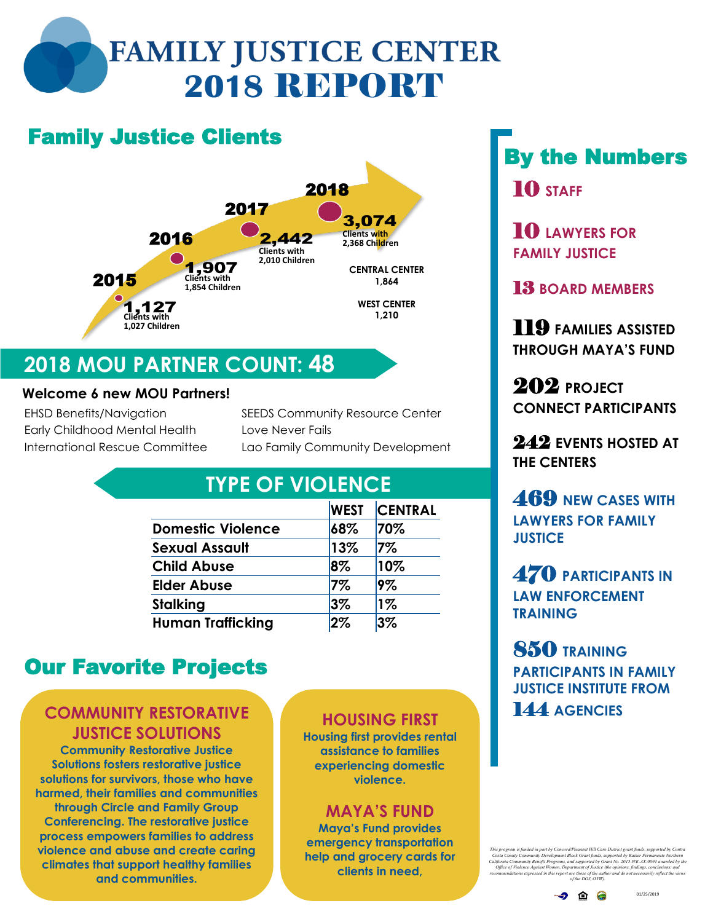# **FAMILY JUSTICE CENTER 2018** REPORT

## Family Justice Clients



## **2018 MOU PARTNER COUNT: 48**

#### **Welcome 6 new MOU Partners!**

EHSD Benefits/Navigation Early Childhood Mental Health International Rescue Committee SEEDS Community Resource Center Love Never Fails Lao Family Community Development

### **TYPE OF VIOLENCE**

|                          | <b>WEST</b> | <b>CENTRAL</b> |
|--------------------------|-------------|----------------|
| <b>Domestic Violence</b> | 68%         | 70%            |
| Sexual Assault           | 13%         | 7%             |
| <b>Child Abuse</b>       | 8%          | 10%            |
| <b>Elder Abuse</b>       | $7\%$       | 9%             |
| Stalking                 | $3\%$       | $1\%$          |
| Human Trafficking        | 2%          | 3%             |

## Our Favorite Projects

#### **COMMUNITY RESTORATIVE JUSTICE SOLUTIONS**

**Community Restorative Justice Solutions fosters restorative justice solutions for survivors, those who have harmed, their families and communities through Circle and Family Group Conferencing. The restorative justice process empowers families to address violence and abuse and create caring climates that support healthy families and communities.**

### **HOUSING FIRST**

**Housing first provides rental assistance to families experiencing domestic violence.** 

#### **MAYA'S FUND**

**Maya's Fund provides emergency transportation help and grocery cards for clients in need,** 

## By the Numbers 10 **STAFF**

10 **LAWYERS FOR FAMILY JUSTICE**

13 **BOARD MEMBERS**

119 **FAMILIES ASSISTED THROUGH MAYA'S FUND**

202 **PROJECT CONNECT PARTICIPANTS**

242 **EVENTS HOSTED AT THE CENTERS**

469 **NEW CASES WITH LAWYERS FOR FAMILY JUSTICE**

470 **PARTICIPANTS IN LAW ENFORCEMENT TRAINING**

850 **TRAINING PARTICIPANTS IN FAMILY JUSTICE INSTITUTE FROM**  144 **AGENCIES**

*This program is funded in part by Concord/Pleasant Hill Care District grant funds, supported* Costa County Community Development Block Grant funds, supported by Kaiser Permanente Northern<br>California Community Benefit Programs, and supported by Grant No. 2015-WE-AX-0094 avarded by the<br>Office of Violence Against Wome

01/25/2019

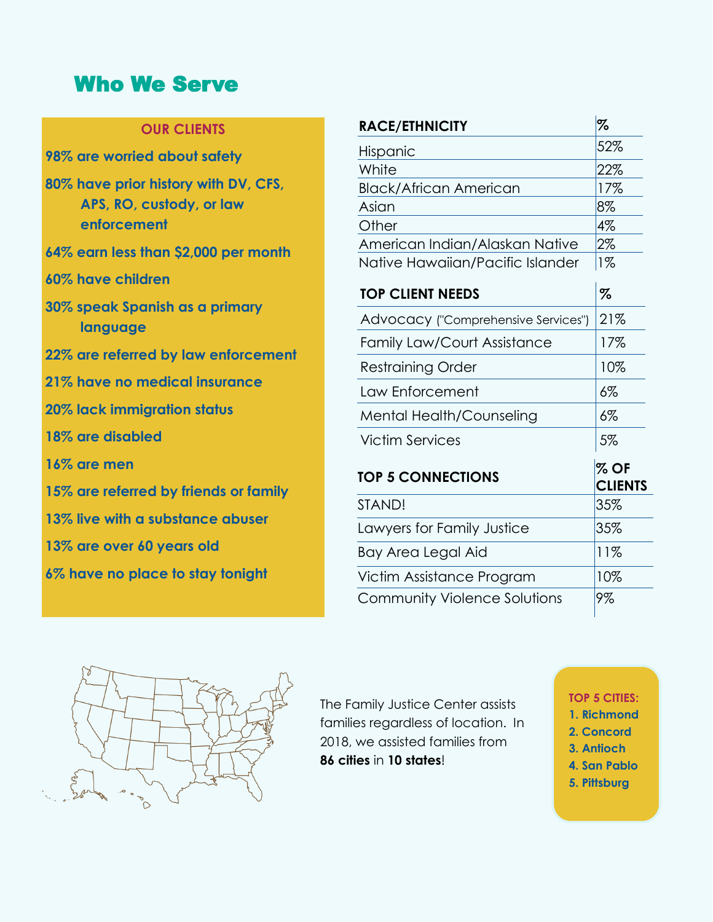### Who We Serve

#### **OUR CLIENTS**

| 98% are worried about safety                                                    |
|---------------------------------------------------------------------------------|
| 80% have prior history with DV, CFS,<br>APS, RO, custody, or law<br>enforcement |
| 64% earn less than \$2,000 per month                                            |
| 60% have children                                                               |
| 30% speak Spanish as a primary<br>language                                      |
| 22% are referred by law enforcement                                             |

- **21% have no medical insurance**
- 
- **20% lack immigration status**
- **18% are disabled**
- **16% are men**
- **15% are referred by friends or family**
- **13% live with a substance abuser**
- **13% are over 60 years old**
- **6% have no place to stay tonight**

| <b>RACE/ETHNICITY</b>               | %                        |
|-------------------------------------|--------------------------|
| Hispanic                            | 52%                      |
| White                               | 22%                      |
| <b>Black/African American</b>       | 17%                      |
| Asian                               | 8%                       |
| Other                               | 4%                       |
| American Indian/Alaskan Native      | 2%                       |
| Native Hawaiian/Pacific Islander    | $1\%$                    |
| <b>TOP CLIENT NEEDS</b>             | $\%$                     |
| Advocacy ("Comprehensive Services") | 21%                      |
| <b>Family Law/Court Assistance</b>  | 17%                      |
| <b>Restraining Order</b>            | 10%                      |
| Law Enforcement                     | $6\%$                    |
| Mental Health/Counseling            | $6\%$                    |
| Victim Services                     | 5%                       |
| <b>TOP 5 CONNECTIONS</b>            | $%$ OF<br><b>CLIENTS</b> |
| STAND!                              | 35%                      |
| Lawyers for Family Justice          | 35%                      |
| Bay Area Legal Aid                  | 11%                      |
| Victim Assistance Program           | 10%                      |
| <b>Community Violence Solutions</b> | 9%                       |



The Family Justice Center assists families regardless of location. In 2018, we assisted families from **86 cities** in **10 states**!

#### **TOP 5 CITIES:**

- **1. Richmond**
- **2. Concord**
- **3. Antioch**
- **4. San Pablo**
- **5. Pittsburg**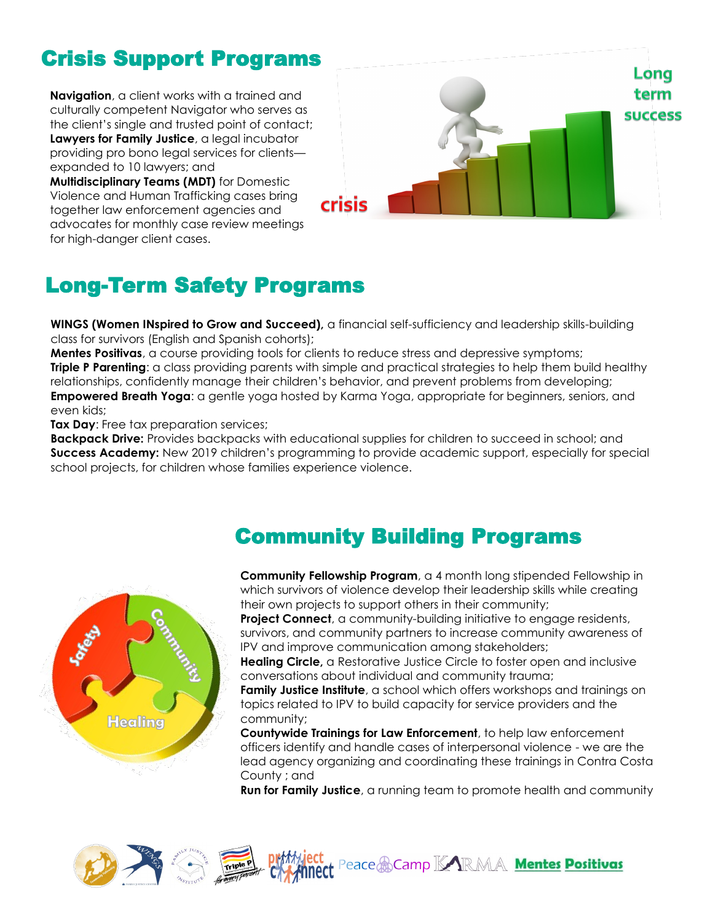## Crisis Support Programs

**Navigation**, a client works with a trained and culturally competent Navigator who serves as the client's single and trusted point of contact; **Lawyers for Family Justice**, a legal incubator providing pro bono legal services for clients expanded to 10 lawyers; and

**Multidisciplinary Teams (MDT)** for Domestic Violence and Human Trafficking cases bring together law enforcement agencies and advocates for monthly case review meetings for high-danger client cases.



## Long-Term Safety Programs

**WINGS (Women INspired to Grow and Succeed),** a financial self-sufficiency and leadership skills-building class for survivors (English and Spanish cohorts);

**Mentes Positivas**, a course providing tools for clients to reduce stress and depressive symptoms; **Triple P Parenting**: a class providing parents with simple and practical strategies to help them build healthy relationships, confidently manage their children's behavior, and prevent problems from developing; **Empowered Breath Yoga**: a gentle yoga hosted by Karma Yoga, appropriate for beginners, seniors, and even kids;

**Tax Day:** Free tax preparation services;

**Backpack Drive:** Provides backpacks with educational supplies for children to succeed in school; and **Success Academy:** New 2019 children's programming to provide academic support, especially for special school projects, for children whose families experience violence.

### Community Building Programs



**Community Fellowship Program**, a 4 month long stipended Fellowship in which survivors of violence develop their leadership skills while creating their own projects to support others in their community;

**Project Connect**, a community-building initiative to engage residents, survivors, and community partners to increase community awareness of IPV and improve communication among stakeholders;

**Healing Circle,** a Restorative Justice Circle to foster open and inclusive conversations about individual and community trauma;

**Family Justice Institute**, a school which offers workshops and trainings on topics related to IPV to build capacity for service providers and the community;

**Countywide Trainings for Law Enforcement**, to help law enforcement officers identify and handle cases of interpersonal violence - we are the lead agency organizing and coordinating these trainings in Contra Costa County ; and

**Run for Family Justice**, a running team to promote health and community